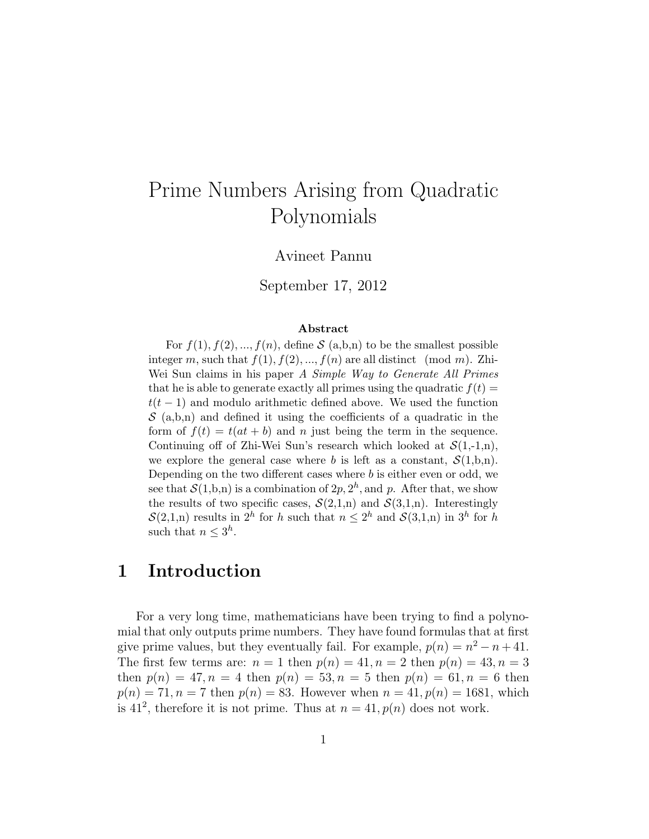# Prime Numbers Arising from Quadratic Polynomials

#### Avineet Pannu

September 17, 2012

#### Abstract

For  $f(1), f(2), ..., f(n)$ , define S (a,b,n) to be the smallest possible integer m, such that  $f(1), f(2), ..., f(n)$  are all distinct (mod m). Zhi-Wei Sun claims in his paper A Simple Way to Generate All Primes that he is able to generate exactly all primes using the quadratic  $f(t) =$  $t(t-1)$  and modulo arithmetic defined above. We used the function  $S(a,b,n)$  and defined it using the coefficients of a quadratic in the form of  $f(t) = t(at + b)$  and n just being the term in the sequence. Continuing off of Zhi-Wei Sun's research which looked at  $\mathcal{S}(1,-1,n)$ , we explore the general case where b is left as a constant,  $\mathcal{S}(1,b,n)$ . Depending on the two different cases where  $b$  is either even or odd, we see that  $\mathcal{S}(1,b,n)$  is a combination of  $2p, 2<sup>h</sup>$ , and p. After that, we show the results of two specific cases,  $\mathcal{S}(2,1,n)$  and  $\mathcal{S}(3,1,n)$ . Interestingly  $\mathcal{S}(2,1,n)$  results in  $2^h$  for h such that  $n \leq 2^h$  and  $\mathcal{S}(3,1,n)$  in  $3^h$  for h such that  $n \leq 3^h$ .

### 1 Introduction

For a very long time, mathematicians have been trying to find a polynomial that only outputs prime numbers. They have found formulas that at first give prime values, but they eventually fail. For example,  $p(n) = n^2 - n + 41$ . The first few terms are:  $n = 1$  then  $p(n) = 41, n = 2$  then  $p(n) = 43, n = 3$ then  $p(n) = 47, n = 4$  then  $p(n) = 53, n = 5$  then  $p(n) = 61, n = 6$  then  $p(n) = 71, n = 7$  then  $p(n) = 83$ . However when  $n = 41, p(n) = 1681$ , which is 41<sup>2</sup>, therefore it is not prime. Thus at  $n = 41$ ,  $p(n)$  does not work.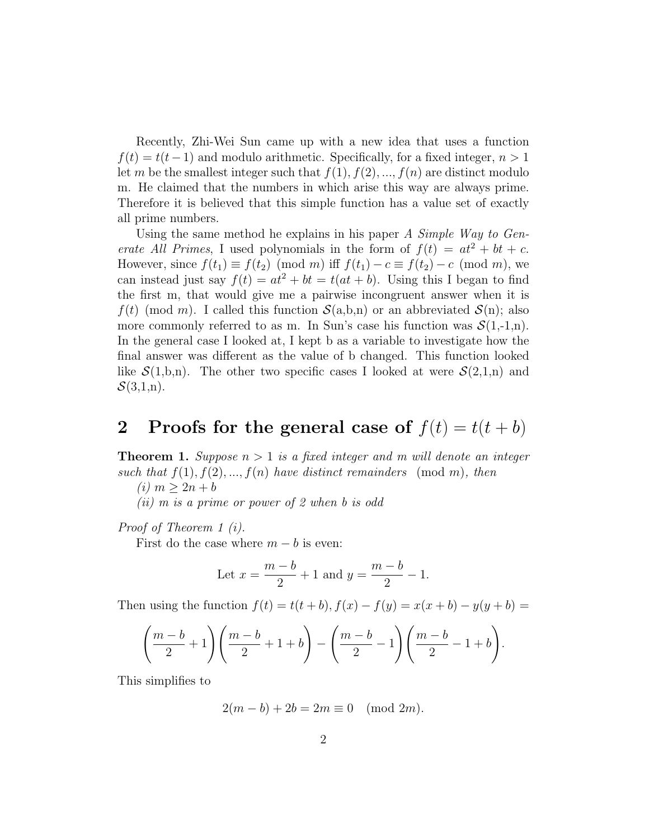Recently, Zhi-Wei Sun came up with a new idea that uses a function  $f(t) = t(t-1)$  and modulo arithmetic. Specifically, for a fixed integer,  $n > 1$ let m be the smallest integer such that  $f(1), f(2), ..., f(n)$  are distinct modulo m. He claimed that the numbers in which arise this way are always prime. Therefore it is believed that this simple function has a value set of exactly all prime numbers.

Using the same method he explains in his paper A Simple Way to Generate All Primes, I used polynomials in the form of  $f(t) = at^2 + bt + c$ . However, since  $f(t_1) \equiv f(t_2) \pmod{m}$  iff  $f(t_1) - c \equiv f(t_2) - c \pmod{m}$ , we can instead just say  $f(t) = at^2 + bt = t(at + b)$ . Using this I began to find the first m, that would give me a pairwise incongruent answer when it is  $f(t)$  (mod m). I called this function  $\mathcal{S}(a,b,n)$  or an abbreviated  $\mathcal{S}(n)$ ; also more commonly referred to as m. In Sun's case his function was  $\mathcal{S}(1,-1,n)$ . In the general case I looked at, I kept b as a variable to investigate how the final answer was different as the value of b changed. This function looked like  $S(1,b,n)$ . The other two specific cases I looked at were  $S(2,1,n)$  and  $\mathcal{S}(3,1,n)$ .

## 2 Proofs for the general case of  $f(t) = t(t + b)$

**Theorem 1.** Suppose  $n > 1$  is a fixed integer and m will denote an integer such that  $f(1), f(2), ..., f(n)$  have distinct remainders (mod m), then

(*i*)  $m > 2n + b$ 

 $(ii)$  m is a prime or power of 2 when b is odd

Proof of Theorem 1 (i).

First do the case where  $m - b$  is even:

Let 
$$
x = \frac{m-b}{2} + 1
$$
 and  $y = \frac{m-b}{2} - 1$ .

Then using the function  $f(t) = t(t + b)$ ,  $f(x) - f(y) = x(x + b) - y(y + b) =$ 

$$
\left(\frac{m-b}{2}+1\right)\left(\frac{m-b}{2}+1+b\right)-\left(\frac{m-b}{2}-1\right)\left(\frac{m-b}{2}-1+b\right).
$$

This simplifies to

$$
2(m - b) + 2b = 2m \equiv 0 \pmod{2m}.
$$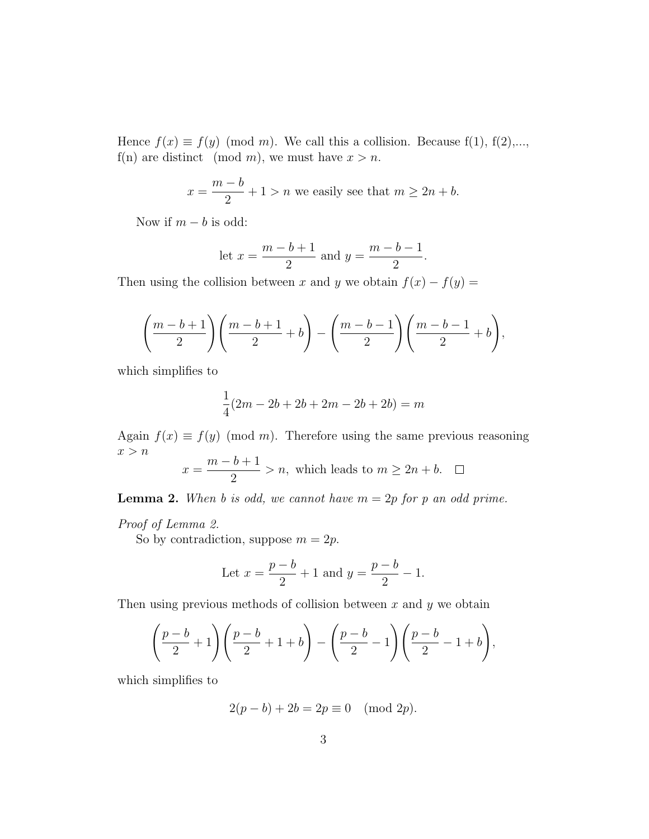Hence  $f(x) \equiv f(y) \pmod{m}$ . We call this a collision. Because f(1), f(2),..., f(n) are distinct (mod m), we must have  $x > n$ .

$$
x = \frac{m - b}{2} + 1 > n
$$
 we easily see that  $m \ge 2n + b$ .

Now if  $m - b$  is odd:

let 
$$
x = \frac{m-b+1}{2}
$$
 and  $y = \frac{m-b-1}{2}$ .

Then using the collision between x and y we obtain  $f(x) - f(y) =$ 

$$
\left(\frac{m-b+1}{2}\right)\left(\frac{m-b+1}{2}+b\right)-\left(\frac{m-b-1}{2}\right)\left(\frac{m-b-1}{2}+b\right),
$$

which simplifies to

$$
\frac{1}{4}(2m - 2b + 2b + 2m - 2b + 2b) = m
$$

Again  $f(x) \equiv f(y) \pmod{m}$ . Therefore using the same previous reasoning  $x > n$ 

$$
x = \frac{m - b + 1}{2} > n
$$
, which leads to  $m \ge 2n + b$ .  $\Box$ 

**Lemma 2.** When b is odd, we cannot have  $m = 2p$  for p an odd prime.

Proof of Lemma 2.

So by contradiction, suppose  $m = 2p$ .

Let 
$$
x = \frac{p-b}{2} + 1
$$
 and  $y = \frac{p-b}{2} - 1$ .

Then using previous methods of collision between  $x$  and  $y$  we obtain

$$
\left(\frac{p-b}{2} + 1\right)\left(\frac{p-b}{2} + 1 + b\right) - \left(\frac{p-b}{2} - 1\right)\left(\frac{p-b}{2} - 1 + b\right),
$$

which simplifies to

$$
2(p - b) + 2b = 2p \equiv 0 \pmod{2p}.
$$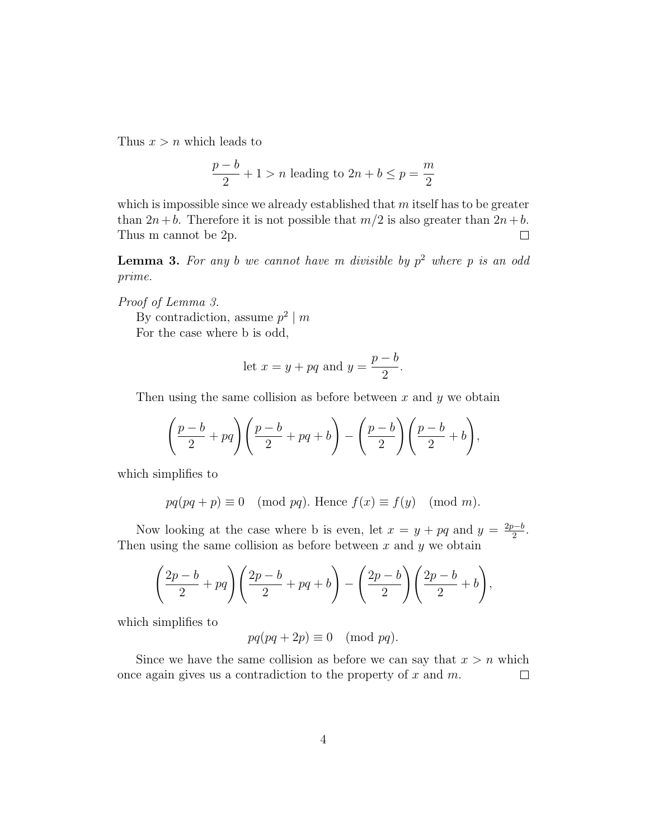Thus  $x > n$  which leads to

$$
\frac{p-b}{2} + 1 > n
$$
 leading to  $2n + b \le p = \frac{m}{2}$ 

which is impossible since we already established that  $m$  itself has to be greater than  $2n+b$ . Therefore it is not possible that  $m/2$  is also greater than  $2n+b$ . Thus m cannot be 2p.  $\Box$ 

**Lemma 3.** For any b we cannot have m divisible by  $p^2$  where p is an odd prime.

Proof of Lemma 3.

By contradiction, assume  $p^2 \mid m$ 

For the case where b is odd,

let 
$$
x = y + pq
$$
 and  $y = \frac{p-b}{2}$ .

Then using the same collision as before between  $x$  and  $y$  we obtain

$$
\left(\frac{p-b}{2} + pq\right)\left(\frac{p-b}{2} + pq + b\right) - \left(\frac{p-b}{2}\right)\left(\frac{p-b}{2} + b\right),
$$

which simplifies to

$$
pq(pq+p) \equiv 0 \pmod{pq}
$$
. Hence  $f(x) \equiv f(y) \pmod{m}$ .

Now looking at the case where b is even, let  $x = y + pq$  and  $y = \frac{2p-b}{2}$  $\frac{b-b}{2}$ . Then using the same collision as before between  $x$  and  $y$  we obtain

$$
\left(\frac{2p-b}{2}+pq\right)\left(\frac{2p-b}{2}+pq+b\right)-\left(\frac{2p-b}{2}\right)\left(\frac{2p-b}{2}+b\right),
$$

which simplifies to

$$
pq(pq + 2p) \equiv 0 \pmod{pq}.
$$

Since we have the same collision as before we can say that  $x > n$  which once again gives us a contradiction to the property of  $x$  and  $m$ .  $\Box$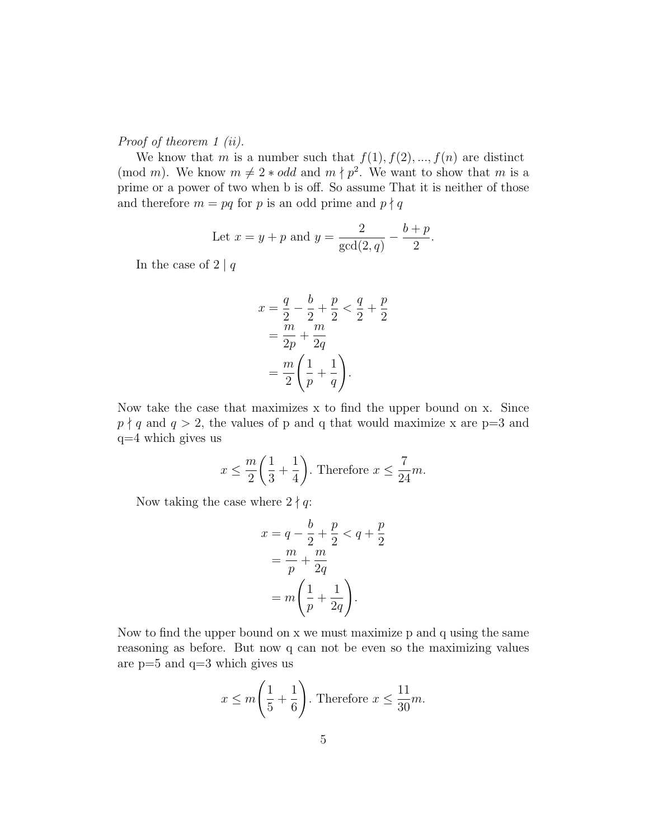Proof of theorem 1 (ii).

We know that m is a number such that  $f(1), f(2), ..., f(n)$  are distinct (mod m). We know  $m \neq 2 * odd$  and  $m \nmid p^2$ . We want to show that m is a prime or a power of two when b is off. So assume That it is neither of those and therefore  $m = pq$  for p is an odd prime and  $p \nmid q$ 

Let 
$$
x = y + p
$$
 and  $y = \frac{2}{\gcd(2, q)} - \frac{b + p}{2}$ .

In the case of  $2 | q$ 

$$
x = \frac{q}{2} - \frac{b}{2} + \frac{p}{2} < \frac{q}{2} + \frac{p}{2} = \frac{m}{2p} + \frac{m}{2q} = \frac{m}{2} \left( \frac{1}{p} + \frac{1}{q} \right).
$$

Now take the case that maximizes x to find the upper bound on x. Since  $p \nmid q$  and  $q > 2$ , the values of p and q that would maximize x are p=3 and q=4 which gives us

$$
x \le \frac{m}{2} \left( \frac{1}{3} + \frac{1}{4} \right).
$$
 Therefore  $x \le \frac{7}{24}m$ .

Now taking the case where  $2 \nmid q$ :

$$
x = q - \frac{b}{2} + \frac{p}{2} < q + \frac{p}{2}
$$
\n
$$
= \frac{m}{p} + \frac{m}{2q}
$$
\n
$$
= m\left(\frac{1}{p} + \frac{1}{2q}\right).
$$

Now to find the upper bound on x we must maximize p and q using the same reasoning as before. But now q can not be even so the maximizing values are p=5 and q=3 which gives us

$$
x \le m\left(\frac{1}{5} + \frac{1}{6}\right)
$$
. Therefore  $x \le \frac{11}{30}m$ .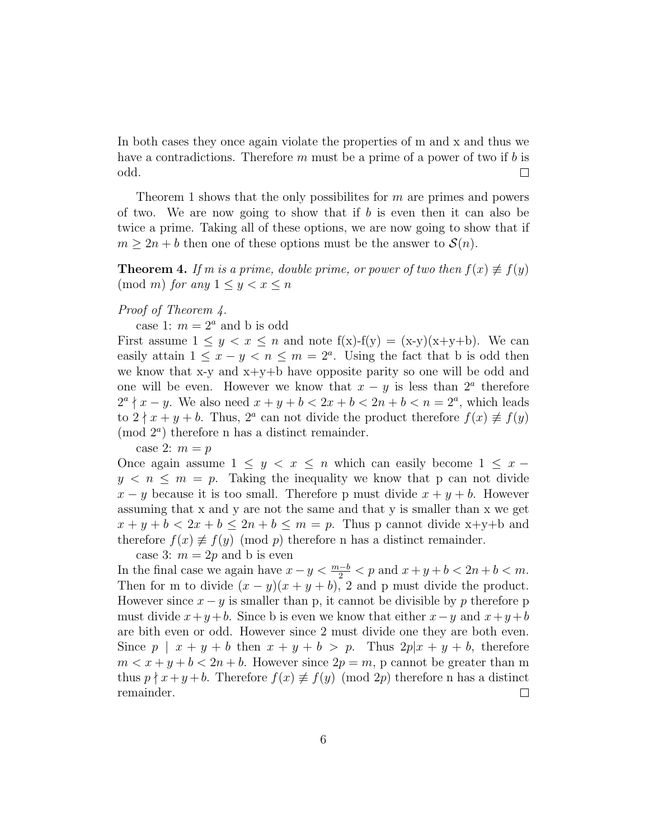In both cases they once again violate the properties of m and x and thus we have a contradictions. Therefore  $m$  must be a prime of a power of two if  $b$  is odd.  $\Box$ 

Theorem 1 shows that the only possibilites for  $m$  are primes and powers of two. We are now going to show that if  $b$  is even then it can also be twice a prime. Taking all of these options, we are now going to show that if  $m \geq 2n + b$  then one of these options must be the answer to  $\mathcal{S}(n)$ .

**Theorem 4.** If m is a prime, double prime, or power of two then  $f(x) \neq f(y)$  $\pmod{m}$  for any  $1 \leq y < x \leq n$ 

#### Proof of Theorem 4.

case 1:  $m = 2<sup>a</sup>$  and b is odd

First assume  $1 \leq y < x \leq n$  and note  $f(x) - f(y) = (x-y)(x+y+b)$ . We can easily attain  $1 \leq x - y < n \leq m = 2^a$ . Using the fact that b is odd then we know that x-y and  $x+y+b$  have opposite parity so one will be odd and one will be even. However we know that  $x - y$  is less than  $2^a$  therefore  $2^a \nmid x - y$ . We also need  $x + y + b < 2x + b < 2n + b < n = 2^a$ , which leads to  $2 \nmid x + y + b$ . Thus,  $2^a$  can not divide the product therefore  $f(x) \not\equiv f(y)$ (mod  $2^a$ ) therefore n has a distinct remainder.

case 2:  $m = p$ 

Once again assume  $1 \leq y < x \leq n$  which can easily become  $1 \leq x$  $y < n \le m = p$ . Taking the inequality we know that p can not divide  $x - y$  because it is too small. Therefore p must divide  $x + y + b$ . However assuming that x and y are not the same and that y is smaller than x we get  $x + y + b < 2x + b \leq 2n + b \leq m = p$ . Thus p cannot divide x+y+b and therefore  $f(x) \not\equiv f(y) \pmod{p}$  therefore n has a distinct remainder.

case 3:  $m = 2p$  and b is even

In the final case we again have  $x - y < \frac{m-b}{2} < p$  and  $x + y + b < 2n + b < m$ . Then for m to divide  $(x - y)(x + y + b)$ , 2 and p must divide the product. However since  $x - y$  is smaller than p, it cannot be divisible by p therefore p must divide  $x+y+b$ . Since b is even we know that either  $x-y$  and  $x+y+b$ are bith even or odd. However since 2 must divide one they are both even. Since  $p \mid x + y + b$  then  $x + y + b > p$ . Thus  $2p|x + y + b$ , therefore  $m < x + y + b < 2n + b$ . However since  $2p = m$ , p cannot be greater than m thus  $p \nmid x+y+b$ . Therefore  $f(x) \not\equiv f(y) \pmod{2p}$  therefore n has a distinct remainder.  $\Box$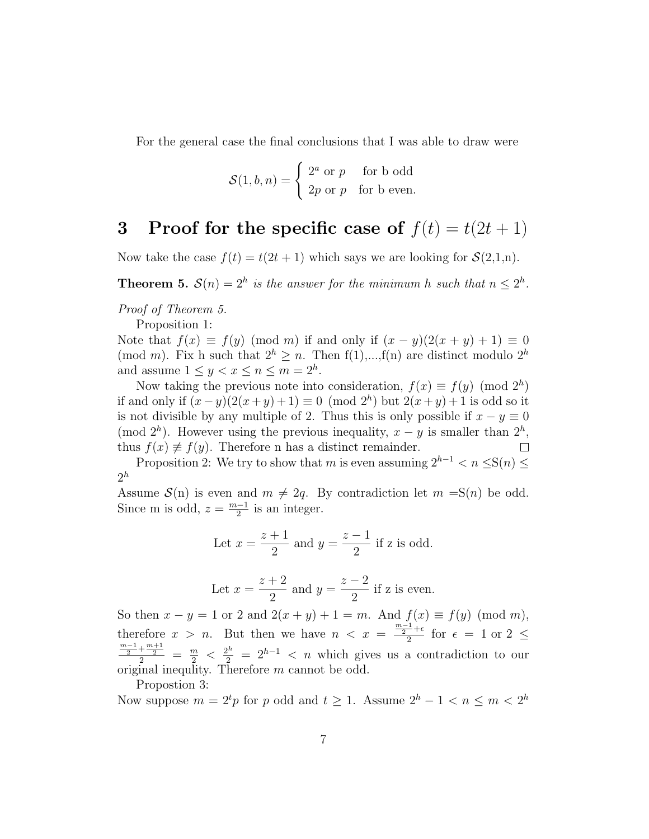For the general case the final conclusions that I was able to draw were

$$
\mathcal{S}(1, b, n) = \begin{cases} 2^a \text{ or } p & \text{for } b \text{ odd} \\ 2p \text{ or } p & \text{for } b \text{ even.} \end{cases}
$$

### 3 Proof for the specific case of  $f(t) = t(2t + 1)$

Now take the case  $f(t) = t(2t + 1)$  which says we are looking for  $\mathcal{S}(2,1,n)$ .

**Theorem 5.**  $S(n) = 2^h$  is the answer for the minimum h such that  $n \leq 2^h$ .

Proof of Theorem 5.

Proposition 1:

Note that  $f(x) \equiv f(y) \pmod{m}$  if and only if  $(x - y)(2(x + y) + 1) \equiv 0$ (mod m). Fix h such that  $2^h > n$ . Then  $f(1),...,f(n)$  are distinct modulo  $2^h$ and assume  $1 \le y < x \le n \le m = 2<sup>h</sup>$ .

Now taking the previous note into consideration,  $f(x) \equiv f(y) \pmod{2^h}$ if and only if  $(x - y)(2(x + y) + 1) \equiv 0 \pmod{2^h}$  but  $2(x + y) + 1$  is odd so it is not divisible by any multiple of 2. Thus this is only possible if  $x - y \equiv 0$ (mod  $2<sup>h</sup>$ ). However using the previous inequality,  $x - y$  is smaller than  $2<sup>h</sup>$ , thus  $f(x) \neq f(y)$ . Therefore n has a distinct remainder.  $\Box$ 

Proposition 2: We try to show that m is even assuming  $2^{h-1} < n \leq S(n) \leq$  $2^h$ 

Assume  $\mathcal{S}(n)$  is even and  $m \neq 2q$ . By contradiction let  $m = S(n)$  be odd. Since m is odd,  $z = \frac{m-1}{2}$  $\frac{-1}{2}$  is an integer.

Let 
$$
x = \frac{z+1}{2}
$$
 and  $y = \frac{z-1}{2}$  if z is odd.

Let 
$$
x = \frac{z+2}{2}
$$
 and  $y = \frac{z-2}{2}$  if z is even.

So then  $x - y = 1$  or 2 and  $2(x + y) + 1 = m$ . And  $f(x) \equiv f(y) \pmod{m}$ , therefore  $x > n$ . But then we have  $n < x = \frac{\frac{m-1}{2} + \epsilon}{2}$  $\frac{-\tau}{2}$  for  $\epsilon = 1$  or  $2 \leq$  $\frac{\frac{m-1}{2}+\frac{m+1}{2}}{2} = \frac{m}{2} < \frac{2^h}{2} = 2^{h-1} < n$  which gives us a contradiction to our original inequlity. Therefore m cannot be odd.

Propostion 3:

Now suppose  $m = 2^t p$  for p odd and  $t \geq 1$ . Assume  $2^h - 1 < n \leq m < 2^h$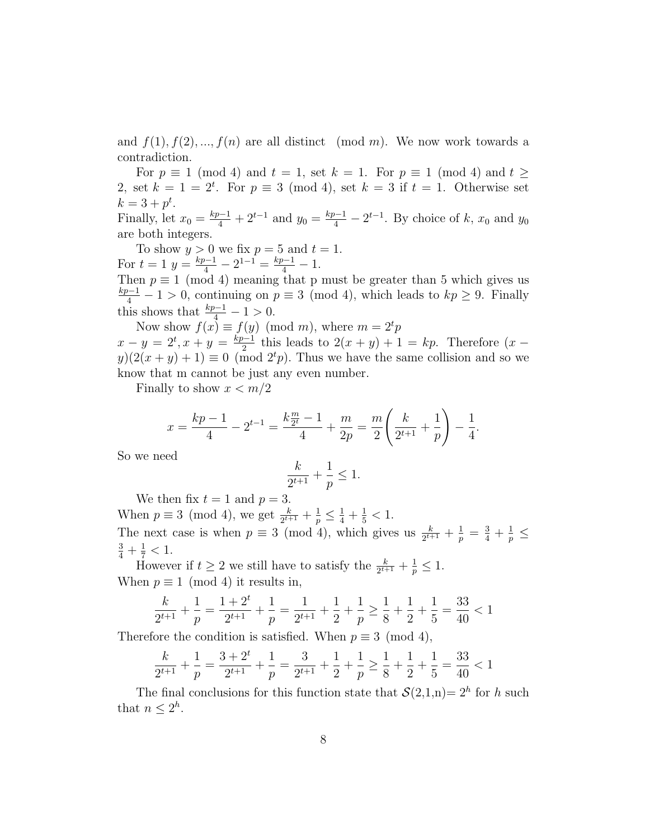and  $f(1), f(2), ..., f(n)$  are all distinct (mod m). We now work towards a contradiction.

For  $p \equiv 1 \pmod{4}$  and  $t = 1$ , set  $k = 1$ . For  $p \equiv 1 \pmod{4}$  and  $t \ge$ 2, set  $k = 1 = 2^t$ . For  $p \equiv 3 \pmod{4}$ , set  $k = 3$  if  $t = 1$ . Otherwise set  $k = 3 + p^t$ .

Finally, let  $x_0 = \frac{kp-1}{4} + 2^{t-1}$  and  $y_0 = \frac{kp-1}{4} - 2^{t-1}$ . By choice of k,  $x_0$  and  $y_0$ are both integers.

To show  $y > 0$  we fix  $p = 5$  and  $t = 1$ . For  $t = 1$   $y = \frac{kp-1}{4} - 2^{1-1} = \frac{kp-1}{4} - 1$ .

Then  $p \equiv 1 \pmod{4}$  meaning that p must be greater than 5 which gives us  $\frac{kp-1}{4} - 1 > 0$ , continuing on  $p \equiv 3 \pmod{4}$ , which leads to  $kp ≥ 9$ . Finally this shows that  $\frac{kp-1}{4} - 1 > 0$ .

Now show  $f(x) \equiv f(y) \pmod{m}$ , where  $m = 2^t p$  $x - y = 2^t, x + y = \frac{kp-1}{2}$  $\frac{2^{n-1}}{2}$  this leads to  $2(x + y) + 1 = kp$ . Therefore  $(x - y)$  $y(2(x + y) + 1) \equiv 0 \pmod{2^t p}$ . Thus we have the same collision and so we know that m cannot be just any even number.

Finally to show  $x < m/2$ 

$$
x = \frac{kp-1}{4} - 2^{t-1} = \frac{k\frac{m}{2^t} - 1}{4} + \frac{m}{2p} = \frac{m}{2} \left( \frac{k}{2^{t+1}} + \frac{1}{p} \right) - \frac{1}{4}.
$$

So we need

$$
\frac{k}{2^{t+1}}+\frac{1}{p}\leq 1.
$$

We then fix  $t = 1$  and  $p = 3$ .

When  $p \equiv 3 \pmod{4}$ , we get  $\frac{k}{2^{t+1}} + \frac{1}{p} \leq \frac{1}{4} + \frac{1}{5} < 1$ . The next case is when  $p \equiv 3 \pmod{4}$ , which gives us  $\frac{k}{2^{t+1}} + \frac{1}{p} = \frac{3}{4} + \frac{1}{p} \le$  $\frac{3}{4} + \frac{1}{7} < 1.$ 

However if  $t \geq 2$  we still have to satisfy the  $\frac{k}{2^{t+1}} + \frac{1}{p} \leq 1$ . When  $p \equiv 1 \pmod{4}$  it results in,

$$
\frac{k}{2^{t+1}} + \frac{1}{p} = \frac{1+2^t}{2^{t+1}} + \frac{1}{p} = \frac{1}{2^{t+1}} + \frac{1}{2} + \frac{1}{p} \ge \frac{1}{8} + \frac{1}{2} + \frac{1}{5} = \frac{33}{40} < 1
$$

Therefore the condition is satisfied. When  $p \equiv 3 \pmod{4}$ ,

$$
\frac{k}{2^{t+1}} + \frac{1}{p} = \frac{3+2^t}{2^{t+1}} + \frac{1}{p} = \frac{3}{2^{t+1}} + \frac{1}{2} + \frac{1}{p} \ge \frac{1}{8} + \frac{1}{2} + \frac{1}{5} = \frac{33}{40} < 1
$$

The final conclusions for this function state that  $\mathcal{S}(2,1,n) = 2^h$  for h such that  $n \leq 2^h$ .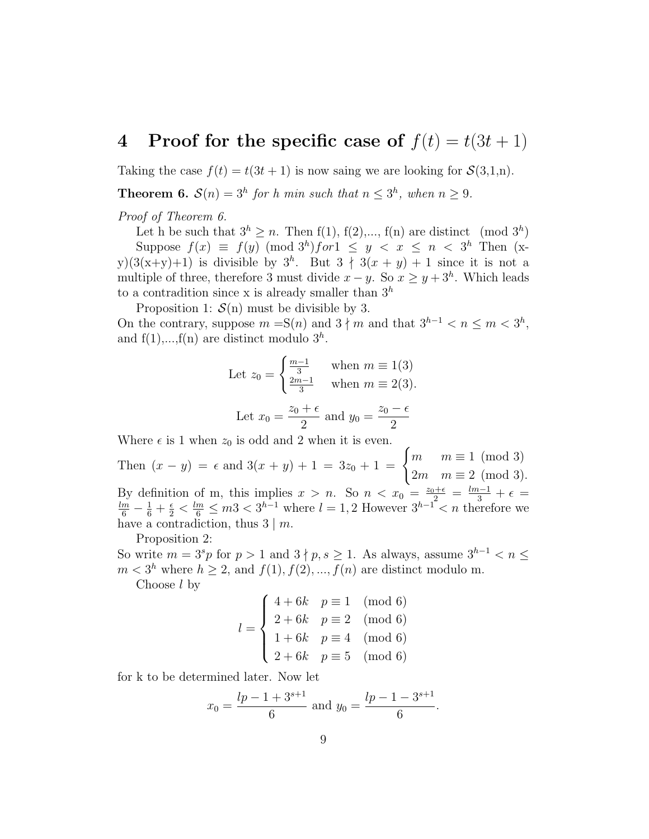# 4 Proof for the specific case of  $f(t) = t(3t + 1)$

Taking the case  $f(t) = t(3t + 1)$  is now saing we are looking for  $\mathcal{S}(3,1,n)$ .

**Theorem 6.**  $S(n) = 3^h$  for h min such that  $n \leq 3^h$ , when  $n \geq 9$ .

Proof of Theorem 6.

Let h be such that  $3^h \ge n$ . Then  $f(1)$ ,  $f(2)$ ,...,  $f(n)$  are distinct (mod  $3^h$ ) Suppose  $f(x) \equiv f(y) \pmod{3^h}$  for  $1 \leq y \leq x \leq n \leq 3^h$  Then  $(x$ y)(3(x+y)+1) is divisible by  $3<sup>h</sup>$ . But  $3 \nmid 3(x + y) + 1$  since it is not a multiple of three, therefore 3 must divide  $x - y$ . So  $x \geq y + 3<sup>h</sup>$ . Which leads to a contradition since x is already smaller than  $3<sup>h</sup>$ 

Proposition 1:  $\mathcal{S}(n)$  must be divisible by 3.

On the contrary, suppose  $m = S(n)$  and  $3 \nmid m$  and that  $3^{h-1} < n \le m < 3^h$ , and  $f(1),...,f(n)$  are distinct modulo  $3<sup>h</sup>$ .

Let 
$$
z_0 = \begin{cases} \frac{m-1}{3} & \text{when } m \equiv 1(3) \\ \frac{2m-1}{3} & \text{when } m \equiv 2(3). \end{cases}
$$
  
Let  $x_0 = \frac{z_0 + \epsilon}{2}$  and  $y_0 = \frac{z_0 - \epsilon}{2}$ 

Where  $\epsilon$  is 1 when  $z_0$  is odd and 2 when it is even.

Then  $(x - y) = \epsilon$  and  $3(x + y) + 1 = 3z_0 + 1 = \begin{cases} m & m \equiv 1 \pmod{3} \\ 0 & m \equiv 2, (m-1) \end{cases}$  $2m \quad m \equiv 2 \pmod{3}.$ By definition of m, this implies  $x > n$ . So  $n < x_0 = \frac{z_0 + \epsilon}{2} = \frac{lm-1}{3} + \epsilon = \frac{lm}{6} - \frac{1}{6} + \frac{\epsilon}{2} < \frac{lm}{6} \leq m$ 3 <  $3^{h-1}$  where  $l = 1, 2$  However  $3^{h-1} < n$  therefore we have a contradiction, thus  $3 \mid m$ .

Proposition 2:

So write  $m = 3<sup>s</sup>p$  for  $p > 1$  and  $3 \nmid p, s \ge 1$ . As always, assume  $3<sup>h-1</sup> < n \le$  $m < 3<sup>h</sup>$  where  $h \ge 2$ , and  $f(1), f(2), ..., f(n)$  are distinct modulo m.

Choose l by

$$
l = \begin{cases} 4 + 6k & p \equiv 1 \pmod{6} \\ 2 + 6k & p \equiv 2 \pmod{6} \\ 1 + 6k & p \equiv 4 \pmod{6} \\ 2 + 6k & p \equiv 5 \pmod{6} \end{cases}
$$

for k to be determined later. Now let

$$
x_0 = \frac{lp - 1 + 3^{s+1}}{6}
$$
 and  $y_0 = \frac{lp - 1 - 3^{s+1}}{6}$ .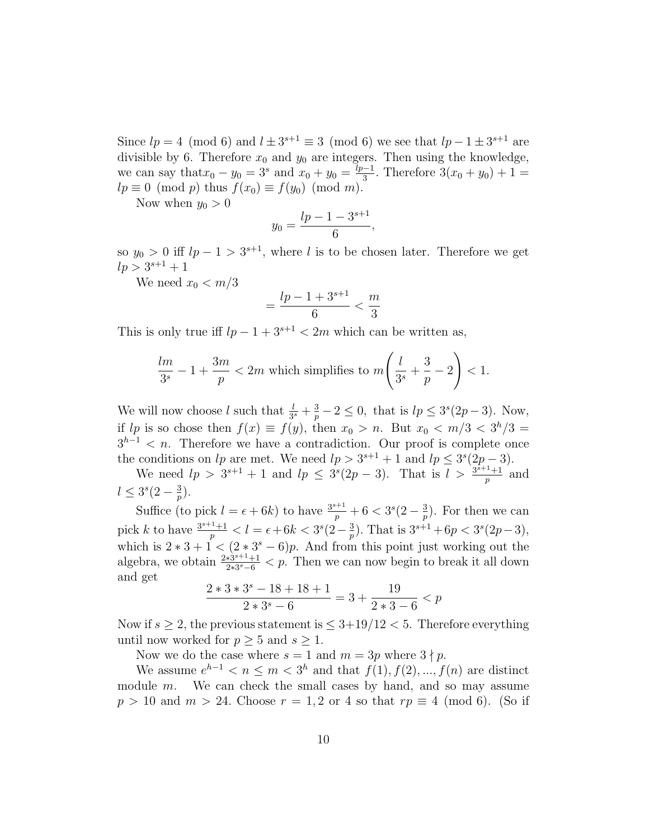Since  $lp = 4 \pmod{6}$  and  $l \pm 3^{s+1} \equiv 3 \pmod{6}$  we see that  $lp - 1 \pm 3^{s+1}$  are divisible by 6. Therefore  $x_0$  and  $y_0$  are integers. Then using the knowledge, we can say that  $x_0 - y_0 = 3^s$  and  $x_0 + y_0 = \frac{lp-1}{3}$  $\frac{1}{3}$ . Therefore  $3(x_0 + y_0) + 1 =$  $lp \equiv 0 \pmod{p}$  thus  $f(x_0) \equiv f(y_0) \pmod{m}$ .

Now when  $y_0 > 0$ 

$$
y_0 = \frac{lp - 1 - 3^{s+1}}{6},
$$

so  $y_0 > 0$  iff  $lp - 1 > 3^{s+1}$ , where l is to be chosen later. Therefore we get  $lp > 3^{s+1} + 1$ 

We need  $x_0 < m/3$ 

$$
=\frac{lp-1+3^{s+1}}{6}<\frac{m}{3}
$$

This is only true iff  $lp - 1 + 3^{s+1} < 2m$  which can be written as,

$$
\frac{lm}{3^s} - 1 + \frac{3m}{p} < 2m \text{ which simplifies to } m\left(\frac{l}{3^s} + \frac{3}{p} - 2\right) < 1.
$$

We will now choose l such that  $\frac{l}{3^s} + \frac{3}{p} - 2 \leq 0$ , that is  $lp \leq 3^s(2p-3)$ . Now, if lp is so chose then  $f(x) \equiv f(y)$ , then  $x_0 > n$ . But  $x_0 < m/3 < 3<sup>h</sup>/3 =$  $3^{h-1} < n$ . Therefore we have a contradiction. Our proof is complete once the conditions on lp are met. We need  $lp > 3^{s+1} + 1$  and  $lp \leq 3^{s}(2p-3)$ .

We need  $lp > 3^{s+1} + 1$  and  $lp \leq 3^{s}(2p-3)$ . That is  $l > \frac{3^{s+1}+1}{n}$  $\frac{p+1}{p}$  and  $l \leq 3^s(2-\frac{3}{n})$  $\frac{3}{p}).$ 

Suffice (to pick  $l = \epsilon + 6k$ ) to have  $\frac{3^{s+1}}{p} + 6 < 3^s(2 - \frac{3}{p})$  $\frac{3}{p}$ ). For then we can pick k to have  $\frac{3^{s+1}+1}{n}$  $\frac{1}{p}$  <  $l = \epsilon + 6k < 3^{s} (2 - \frac{3}{p})$  $\frac{3}{p}$ ). That is  $3^{s+1} + 6p < 3^s(2p-3)$ , which is  $2 * 3 + 1 < (2 * 3<sup>s</sup> - 6)p$ . And from this point just working out the algebra, we obtain  $\frac{2*\hat{3}^{s+1}+1}{2*3s-6}$  $\frac{2*3^{s-1}+1}{2*3^s-6}$  < p. Then we can now begin to break it all down and get

$$
\frac{2*3*3^s - 18 + 18 + 1}{2*3^s - 6} = 3 + \frac{19}{2*3 - 6} < p
$$

Now if  $s \geq 2$ , the previous statement is  $\leq 3+19/12 < 5$ . Therefore everything until now worked for  $p > 5$  and  $s > 1$ .

Now we do the case where  $s = 1$  and  $m = 3p$  where  $3 \nmid p$ .

We assume  $e^{h-1} < n \leq m < 3<sup>h</sup>$  and that  $f(1), f(2), ..., f(n)$  are distinct module  $m$ . We can check the small cases by hand, and so may assume  $p > 10$  and  $m > 24$ . Choose  $r = 1, 2$  or 4 so that  $rp \equiv 4 \pmod{6}$ . (So if